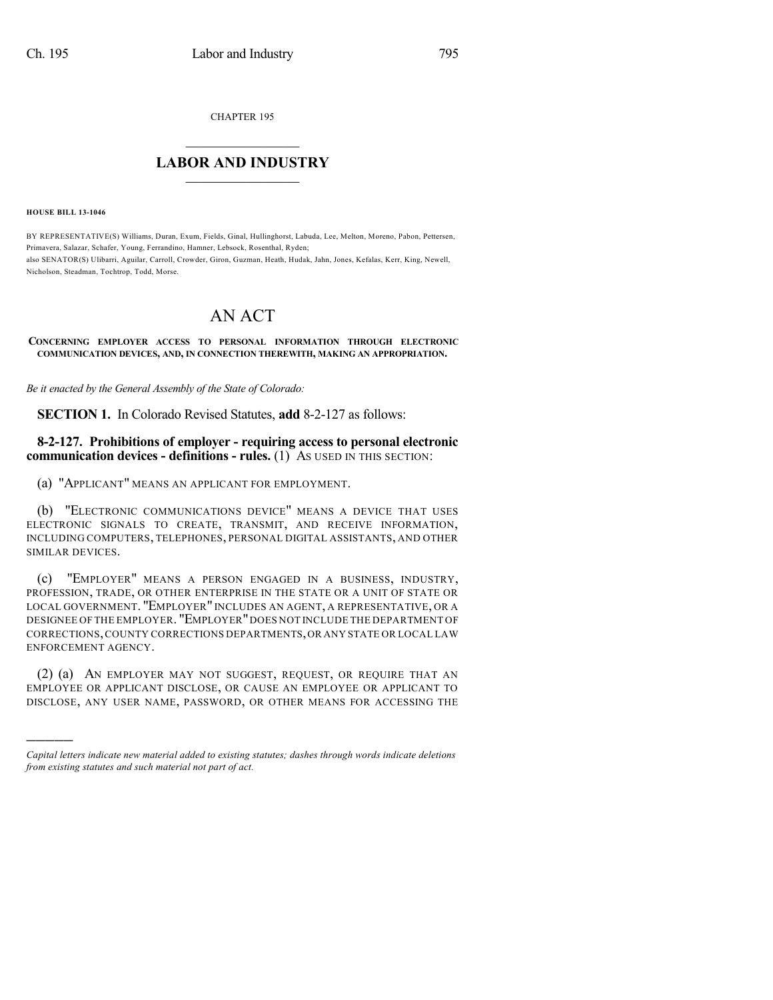CHAPTER 195

## $\overline{\phantom{a}}$  . The set of the set of the set of the set of the set of the set of the set of the set of the set of the set of the set of the set of the set of the set of the set of the set of the set of the set of the set o **LABOR AND INDUSTRY**  $\frac{1}{\sqrt{2}}$  ,  $\frac{1}{\sqrt{2}}$  ,  $\frac{1}{\sqrt{2}}$  ,  $\frac{1}{\sqrt{2}}$  ,  $\frac{1}{\sqrt{2}}$  ,  $\frac{1}{\sqrt{2}}$

**HOUSE BILL 13-1046**

)))))

BY REPRESENTATIVE(S) Williams, Duran, Exum, Fields, Ginal, Hullinghorst, Labuda, Lee, Melton, Moreno, Pabon, Pettersen, Primavera, Salazar, Schafer, Young, Ferrandino, Hamner, Lebsock, Rosenthal, Ryden; also SENATOR(S) Ulibarri, Aguilar, Carroll, Crowder, Giron, Guzman, Heath, Hudak, Jahn, Jones, Kefalas, Kerr, King, Newell, Nicholson, Steadman, Tochtrop, Todd, Morse.

## AN ACT

## **CONCERNING EMPLOYER ACCESS TO PERSONAL INFORMATION THROUGH ELECTRONIC COMMUNICATION DEVICES, AND, IN CONNECTION THEREWITH, MAKING AN APPROPRIATION.**

*Be it enacted by the General Assembly of the State of Colorado:*

**SECTION 1.** In Colorado Revised Statutes, **add** 8-2-127 as follows:

## **8-2-127. Prohibitions of employer - requiring access to personal electronic communication devices - definitions - rules.** (1) AS USED IN THIS SECTION:

(a) "APPLICANT" MEANS AN APPLICANT FOR EMPLOYMENT.

(b) "ELECTRONIC COMMUNICATIONS DEVICE" MEANS A DEVICE THAT USES ELECTRONIC SIGNALS TO CREATE, TRANSMIT, AND RECEIVE INFORMATION, INCLUDING COMPUTERS, TELEPHONES, PERSONAL DIGITAL ASSISTANTS, AND OTHER SIMILAR DEVICES.

(c) "EMPLOYER" MEANS A PERSON ENGAGED IN A BUSINESS, INDUSTRY, PROFESSION, TRADE, OR OTHER ENTERPRISE IN THE STATE OR A UNIT OF STATE OR LOCAL GOVERNMENT. "EMPLOYER" INCLUDES AN AGENT, A REPRESENTATIVE, OR A DESIGNEE OF THE EMPLOYER. "EMPLOYER"DOES NOT INCLUDE THE DEPARTMENT OF CORRECTIONS,COUNTY CORRECTIONS DEPARTMENTS,OR ANY STATE OR LOCAL LAW ENFORCEMENT AGENCY.

(2) (a) AN EMPLOYER MAY NOT SUGGEST, REQUEST, OR REQUIRE THAT AN EMPLOYEE OR APPLICANT DISCLOSE, OR CAUSE AN EMPLOYEE OR APPLICANT TO DISCLOSE, ANY USER NAME, PASSWORD, OR OTHER MEANS FOR ACCESSING THE

*Capital letters indicate new material added to existing statutes; dashes through words indicate deletions from existing statutes and such material not part of act.*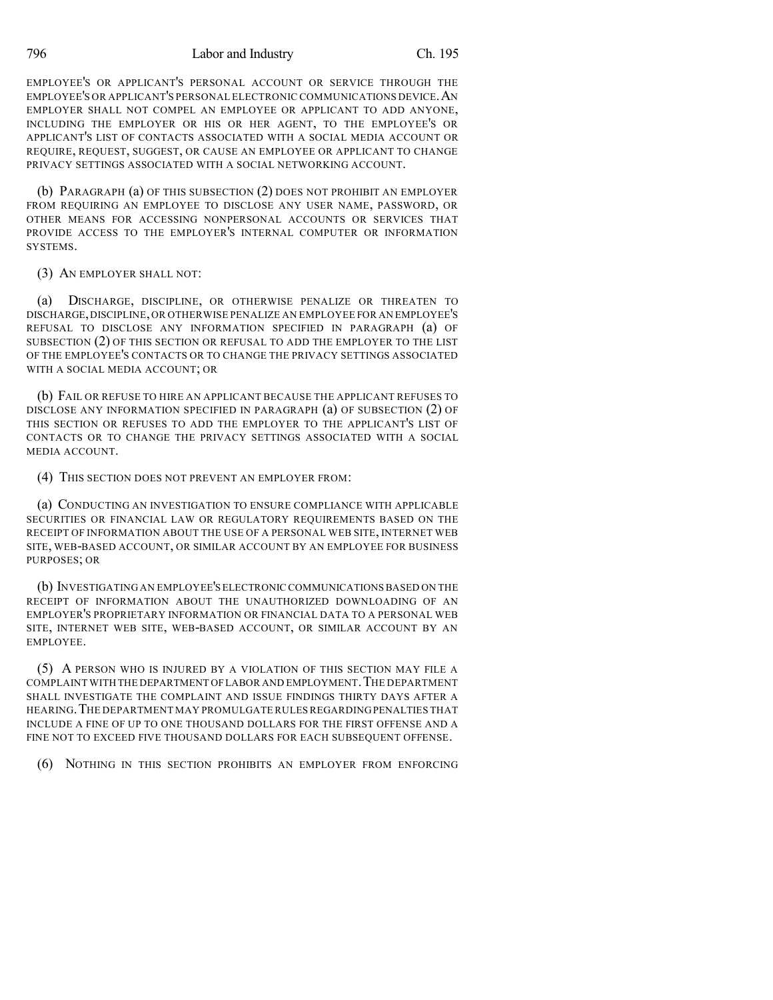796 Labor and Industry Ch. 195

EMPLOYEE'S OR APPLICANT'S PERSONAL ACCOUNT OR SERVICE THROUGH THE EMPLOYEE'S OR APPLICANT'S PERSONAL ELECTRONIC COMMUNICATIONS DEVICE.AN EMPLOYER SHALL NOT COMPEL AN EMPLOYEE OR APPLICANT TO ADD ANYONE, INCLUDING THE EMPLOYER OR HIS OR HER AGENT, TO THE EMPLOYEE'S OR APPLICANT'S LIST OF CONTACTS ASSOCIATED WITH A SOCIAL MEDIA ACCOUNT OR REQUIRE, REQUEST, SUGGEST, OR CAUSE AN EMPLOYEE OR APPLICANT TO CHANGE PRIVACY SETTINGS ASSOCIATED WITH A SOCIAL NETWORKING ACCOUNT.

(b) PARAGRAPH (a) OF THIS SUBSECTION (2) DOES NOT PROHIBIT AN EMPLOYER FROM REQUIRING AN EMPLOYEE TO DISCLOSE ANY USER NAME, PASSWORD, OR OTHER MEANS FOR ACCESSING NONPERSONAL ACCOUNTS OR SERVICES THAT PROVIDE ACCESS TO THE EMPLOYER'S INTERNAL COMPUTER OR INFORMATION SYSTEMS.

(3) AN EMPLOYER SHALL NOT:

(a) DISCHARGE, DISCIPLINE, OR OTHERWISE PENALIZE OR THREATEN TO DISCHARGE,DISCIPLINE,OR OTHERWISE PENALIZE AN EMPLOYEE FOR AN EMPLOYEE'S REFUSAL TO DISCLOSE ANY INFORMATION SPECIFIED IN PARAGRAPH (a) OF SUBSECTION (2) OF THIS SECTION OR REFUSAL TO ADD THE EMPLOYER TO THE LIST OF THE EMPLOYEE'S CONTACTS OR TO CHANGE THE PRIVACY SETTINGS ASSOCIATED WITH A SOCIAL MEDIA ACCOUNT; OR

(b) FAIL OR REFUSE TO HIRE AN APPLICANT BECAUSE THE APPLICANT REFUSES TO DISCLOSE ANY INFORMATION SPECIFIED IN PARAGRAPH (a) OF SUBSECTION (2) OF THIS SECTION OR REFUSES TO ADD THE EMPLOYER TO THE APPLICANT'S LIST OF CONTACTS OR TO CHANGE THE PRIVACY SETTINGS ASSOCIATED WITH A SOCIAL MEDIA ACCOUNT.

(4) THIS SECTION DOES NOT PREVENT AN EMPLOYER FROM:

(a) CONDUCTING AN INVESTIGATION TO ENSURE COMPLIANCE WITH APPLICABLE SECURITIES OR FINANCIAL LAW OR REGULATORY REQUIREMENTS BASED ON THE RECEIPT OF INFORMATION ABOUT THE USE OF A PERSONAL WEB SITE, INTERNET WEB SITE, WEB-BASED ACCOUNT, OR SIMILAR ACCOUNT BY AN EMPLOYEE FOR BUSINESS PURPOSES; OR

(b) INVESTIGATING AN EMPLOYEE'S ELECTRONIC COMMUNICATIONSBASED ON THE RECEIPT OF INFORMATION ABOUT THE UNAUTHORIZED DOWNLOADING OF AN EMPLOYER'S PROPRIETARY INFORMATION OR FINANCIAL DATA TO A PERSONAL WEB SITE, INTERNET WEB SITE, WEB-BASED ACCOUNT, OR SIMILAR ACCOUNT BY AN EMPLOYEE.

(5) A PERSON WHO IS INJURED BY A VIOLATION OF THIS SECTION MAY FILE A COMPLAINT WITH THE DEPARTMENT OF LABOR AND EMPLOYMENT. THE DEPARTMENT SHALL INVESTIGATE THE COMPLAINT AND ISSUE FINDINGS THIRTY DAYS AFTER A HEARING.THE DEPARTMENT MAY PROMULGATE RULES REGARDING PENALTIES THAT INCLUDE A FINE OF UP TO ONE THOUSAND DOLLARS FOR THE FIRST OFFENSE AND A FINE NOT TO EXCEED FIVE THOUSAND DOLLARS FOR EACH SUBSEQUENT OFFENSE.

(6) NOTHING IN THIS SECTION PROHIBITS AN EMPLOYER FROM ENFORCING